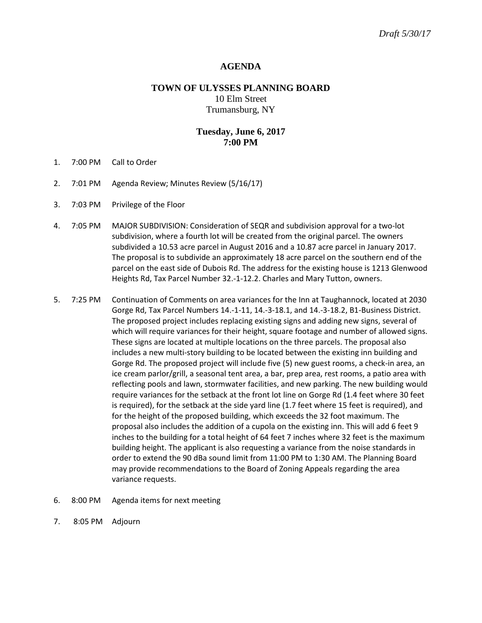## **AGENDA**

# **TOWN OF ULYSSES PLANNING BOARD** 10 Elm Street Trumansburg, NY

## **Tuesday, June 6, 2017 7:00 PM**

- 1. 7:00 PM Call to Order
- 2. 7:01 PM Agenda Review; Minutes Review (5/16/17)
- 3. 7:03 PM Privilege of the Floor
- 4. 7:05 PM MAJOR SUBDIVISION: Consideration of SEQR and subdivision approval for a two-lot subdivision, where a fourth lot will be created from the original parcel. The owners subdivided a 10.53 acre parcel in August 2016 and a 10.87 acre parcel in January 2017. The proposal is to subdivide an approximately 18 acre parcel on the southern end of the parcel on the east side of Dubois Rd. The address for the existing house is 1213 Glenwood Heights Rd, Tax Parcel Number 32.-1-12.2. Charles and Mary Tutton, owners.
- 5. 7:25 PM Continuation of Comments on area variances for the Inn at Taughannock, located at 2030 Gorge Rd, Tax Parcel Numbers 14.-1-11, 14.-3-18.1, and 14.-3-18.2, B1-Business District. The proposed project includes replacing existing signs and adding new signs, several of which will require variances for their height, square footage and number of allowed signs. These signs are located at multiple locations on the three parcels. The proposal also includes a new multi-story building to be located between the existing inn building and Gorge Rd. The proposed project will include five (5) new guest rooms, a check-in area, an ice cream parlor/grill, a seasonal tent area, a bar, prep area, rest rooms, a patio area with reflecting pools and lawn, stormwater facilities, and new parking. The new building would require variances for the setback at the front lot line on Gorge Rd (1.4 feet where 30 feet is required), for the setback at the side yard line (1.7 feet where 15 feet is required), and for the height of the proposed building, which exceeds the 32 foot maximum. The proposal also includes the addition of a cupola on the existing inn. This will add 6 feet 9 inches to the building for a total height of 64 feet 7 inches where 32 feet is the maximum building height. The applicant is also requesting a variance from the noise standards in order to extend the 90 dBa sound limit from 11:00 PM to 1:30 AM. The Planning Board may provide recommendations to the Board of Zoning Appeals regarding the area variance requests.
- 6. 8:00 PM Agenda items for next meeting
- 7. 8:05 PM Adjourn